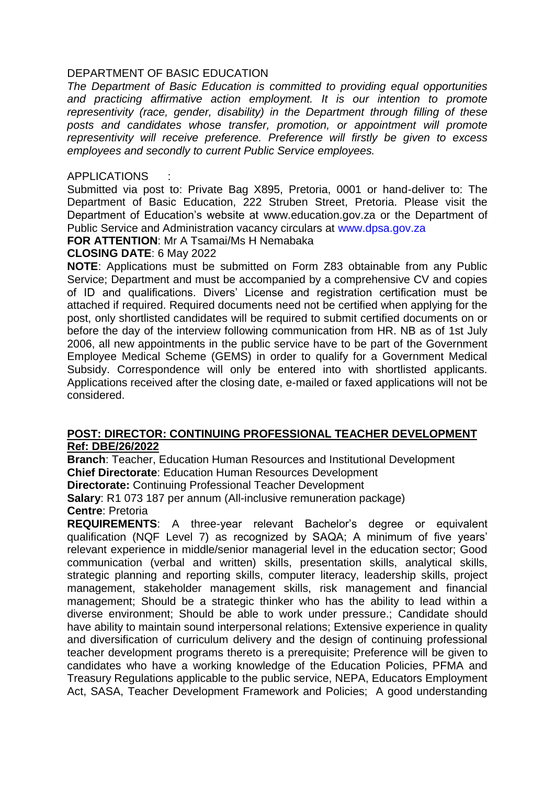# DEPARTMENT OF BASIC EDUCATION

*The Department of Basic Education is committed to providing equal opportunities and practicing affirmative action employment. It is our intention to promote representivity (race, gender, disability) in the Department through filling of these posts and candidates whose transfer, promotion, or appointment will promote representivity will receive preference. Preference will firstly be given to excess employees and secondly to current Public Service employees.* 

### **APPLICATIONS**

Submitted via post to: Private Bag X895, Pretoria, 0001 or hand-deliver to: The Department of Basic Education, 222 Struben Street, Pretoria. Please visit the Department of Education's website at www.education.gov.za or the Department of Public Service and Administration vacancy circulars at [www.dpsa.gov.za](http://www.dpsa.gov.za/)

**FOR ATTENTION**: Mr A Tsamai/Ms H Nemabaka

## **CLOSING DATE**: 6 May 2022

**NOTE**: Applications must be submitted on Form Z83 obtainable from any Public Service; Department and must be accompanied by a comprehensive CV and copies of ID and qualifications. Divers' License and registration certification must be attached if required. Required documents need not be certified when applying for the post, only shortlisted candidates will be required to submit certified documents on or before the day of the interview following communication from HR. NB as of 1st July 2006, all new appointments in the public service have to be part of the Government Employee Medical Scheme (GEMS) in order to qualify for a Government Medical Subsidy. Correspondence will only be entered into with shortlisted applicants. Applications received after the closing date, e-mailed or faxed applications will not be considered.

### **POST: DIRECTOR: CONTINUING PROFESSIONAL TEACHER DEVELOPMENT Ref: DBE/26/2022**

**Branch**: Teacher, Education Human Resources and Institutional Development **Chief Directorate**: Education Human Resources Development

**Directorate:** Continuing Professional Teacher Development

**Salary**: R1 073 187 per annum (All-inclusive remuneration package)

### **Centre**: Pretoria

**REQUIREMENTS**: A three-year relevant Bachelor's degree or equivalent qualification (NQF Level 7) as recognized by SAQA; A minimum of five years' relevant experience in middle/senior managerial level in the education sector; Good communication (verbal and written) skills, presentation skills, analytical skills, strategic planning and reporting skills, computer literacy, leadership skills, project management, stakeholder management skills, risk management and financial management; Should be a strategic thinker who has the ability to lead within a diverse environment; Should be able to work under pressure.; Candidate should have ability to maintain sound interpersonal relations; Extensive experience in quality and diversification of curriculum delivery and the design of continuing professional teacher development programs thereto is a prerequisite; Preference will be given to candidates who have a working knowledge of the Education Policies, PFMA and Treasury Regulations applicable to the public service, NEPA, Educators Employment Act, SASA, Teacher Development Framework and Policies; A good understanding